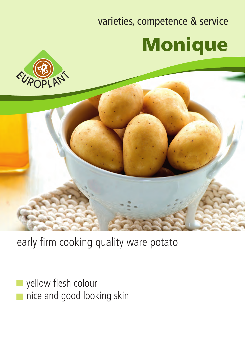## varieties, competence & service Monique





early firm cooking quality ware potato

yellow flesh colour nice and good looking skin